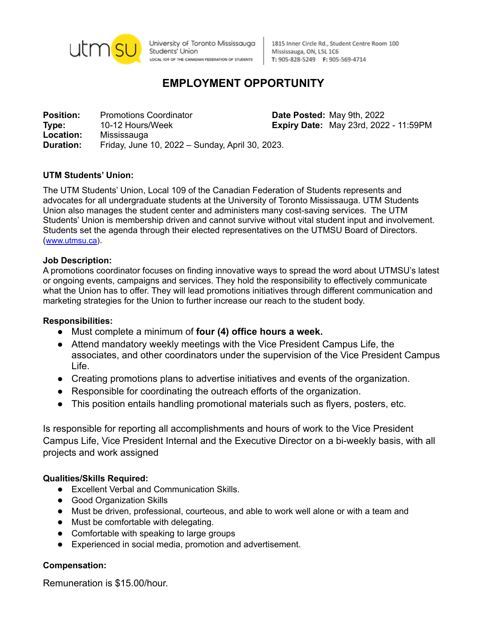

University of Toronto Mississauga Students' Union LOCAL IO9 OF THE CANADIAN FEDERATION OF STUDENTS

1815 Inner Circle Rd., Student Centre Room 100 Mississauga, ON, L5L 1C6 T: 905-828-5249 F: 905-569-4714

# **EMPLOYMENT OPPORTUNITY**

**Position:** Promotions Coordinator **Date Posted:** May 9th, 2022 **Type:** 10-12 Hours/Week **Expiry Date:** May 23rd, 2022 - 11:59PM **Location:** Mississauga<br>**Duration:** Friday, June **Duration:** Friday, June 10, 2022 – Sunday, April 30, 2023.

# **UTM Students' Union:**

The UTM Students' Union, Local 109 of the Canadian Federation of Students represents and advocates for all undergraduate students at the University of Toronto Mississauga. UTM Students Union also manages the student center and administers many cost-saving services. The UTM Students' Union is membership driven and cannot survive without vital student input and involvement. Students set the agenda through their elected representatives on the UTMSU Board of Directors. ([www.utmsu.ca](http://www.utmsu.ca)).

### **Job Description:**

A promotions coordinator focuses on finding innovative ways to spread the word about UTMSU's latest or ongoing events, campaigns and services. They hold the responsibility to effectively communicate what the Union has to offer. They will lead promotions initiatives through different communication and marketing strategies for the Union to further increase our reach to the student body.

#### **Responsibilities:**

- Must complete a minimum of **four (4) office hours a week.**
- Attend mandatory weekly meetings with the Vice President Campus Life, the associates, and other coordinators under the supervision of the Vice President Campus Life.
- Creating promotions plans to advertise initiatives and events of the organization.
- Responsible for coordinating the outreach efforts of the organization.
- This position entails handling promotional materials such as flyers, posters, etc.

Is responsible for reporting all accomplishments and hours of work to the Vice President Campus Life, Vice President Internal and the Executive Director on a bi-weekly basis, with all projects and work assigned

# **Qualities/Skills Required:**

- Excellent Verbal and Communication Skills.
- Good Organization Skills
- Must be driven, professional, courteous, and able to work well alone or with a team and
- Must be comfortable with delegating.
- Comfortable with speaking to large groups
- Experienced in social media, promotion and advertisement.

#### **Compensation:**

Remuneration is \$15.00/hour.